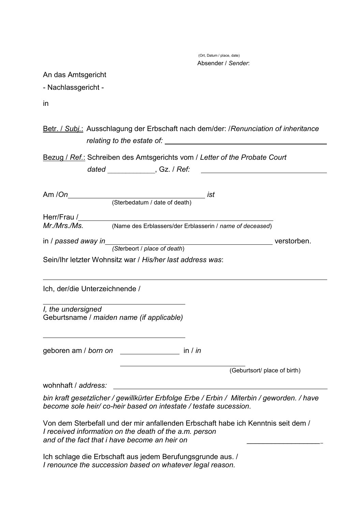(Ort, Datum / place, date) Absender / *Sender*:

An das Amtsgericht

- Nachlassgericht -

in

Betr. / *Subj.*: Ausschlagung der Erbschaft nach dem/der: /*Renunciation of inheritance relating to the estate of:* 

Bezug / *Ref.*: Schreiben des Amtsgerichts vom / *Letter of the Probate Court* 

|                     | dated ______________, Gz. / Ref:                                                                                      |             |
|---------------------|-----------------------------------------------------------------------------------------------------------------------|-------------|
| Am /On              | ist                                                                                                                   |             |
|                     | (Sterbedatum / date of death)                                                                                         |             |
|                     |                                                                                                                       |             |
| Mr./Mrs./Ms.        | (Name des Erblassers/der Erblasserin / name of deceased)                                                              |             |
| in / passed away in |                                                                                                                       | verstorben. |
|                     | (Sterbeort / place of death)                                                                                          |             |
|                     | Sein/Ihr letzter Wohnsitz war / His/her last address was:                                                             |             |
|                     |                                                                                                                       |             |
| I, the undersigned  | Geburtsname / maiden name (if applicable)                                                                             |             |
|                     | geboren am / born on _________________ in / in                                                                        |             |
|                     | (Geburtsort/ place of birth)                                                                                          |             |
| wohnhaft / address: | <u> 1989 - Johann Barn, mars ann an t-Amhain Aonaich an t-Aonaich an t-Aonaich an t-Aonaich an t-Aonaich an t-Aon</u> |             |
|                     | bin kraft gesetzlicher / gewillkürter Erbfolge Erbe / Erbin / Miterbin / geworden. / have                             |             |
|                     | become sole heir/co-heir based on intestate / testate sucession.                                                      |             |
|                     |                                                                                                                       |             |

Von dem Sterbefall und der mir anfallenden Erbschaft habe ich Kenntnis seit dem / *I received information on the death of the a.m. person* and of the fact that *i* have become an heir on

Ich schlage die Erbschaft aus jedem Berufungsgrunde aus. / *I renounce the succession based on whatever legal reason.*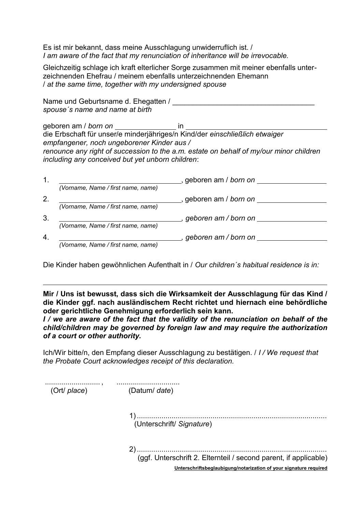Es ist mir bekannt, dass meine Ausschlagung unwiderruflich ist. / *I am aware of the fact that my renunciation of inheritance will be irrevocable.*

Gleichzeitig schlage ich kraft elterlicher Sorge zusammen mit meiner ebenfalls unterzeichnenden Ehefrau / meinem ebenfalls unterzeichnenden Ehemann / *at the same time, together with my undersigned spouse* 

Name und Geburtsname d. Ehegatten / *spouse´s name and name at birth*

geboren am / *born on* **in** \_\_\_\_\_\_\_\_\_\_\_\_\_\_\_\_\_\_\_\_ in \_ die Erbschaft für unser/e minderjähriges/n Kind/der *einschließlich etwaiger empfangener, noch ungeborener Kinder aus / renounce any right of succession to the a.m. estate on behalf of my/our minor children including any conceived but yet unborn children*:

|    |                                    | , geboren am / born on        |
|----|------------------------------------|-------------------------------|
|    | (Vorname, Name / first name, name) |                               |
|    |                                    | , geboren am / born on        |
|    | (Vorname, Name / first name, name) |                               |
|    |                                    | geboren am / born on          |
|    | (Vorname, Name / first name, name) |                               |
| 4. |                                    | geboren am / born on ________ |
|    | (Vorname, Name / first name, name) |                               |

Die Kinder haben gewöhnlichen Aufenthalt in / *Our children´s habitual residence is in:*

**Mir / Uns ist bewusst, dass sich die Wirksamkeit der Ausschlagung für das Kind / die Kinder ggf. nach ausländischem Recht richtet und hiernach eine behördliche oder gerichtliche Genehmigung erforderlich sein kann.**

*I / we are aware of the fact that the validity of the renunciation on behalf of the child/children may be governed by foreign law and may require the authorization of a court or other authority.*

Ich/Wir bitte/n, den Empfang dieser Ausschlagung zu bestätigen. / *I / We request that the Probate Court acknowledges receipt of this declaration.* 

| <br>(Ort/ place) | (Datum/ date)                                                                                                                         |  |
|------------------|---------------------------------------------------------------------------------------------------------------------------------------|--|
|                  | (Unterschrift/ Signature)                                                                                                             |  |
|                  | (ggf. Unterschrift 2. Elternteil / second parent, if applicable)<br>Unterschriftsbeglaubigung/notarization of your signature required |  |